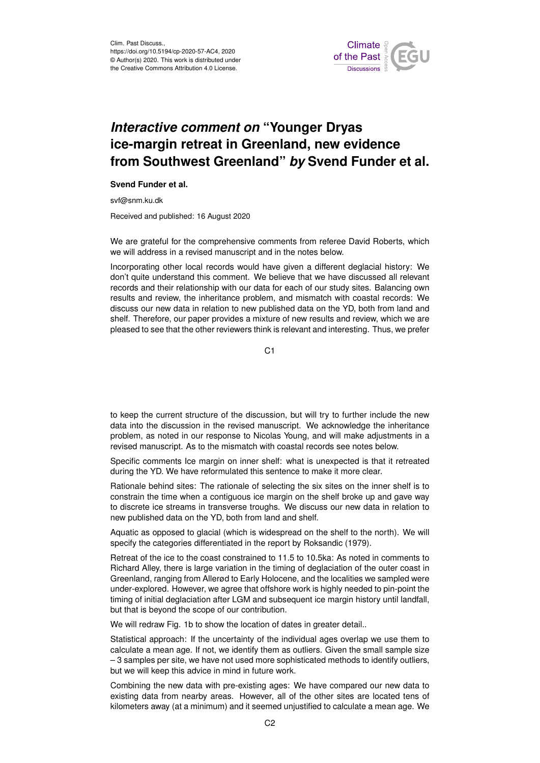

## *Interactive comment on* **"Younger Dryas ice-margin retreat in Greenland, new evidence from Southwest Greenland"** *by* **Svend Funder et al.**

## **Svend Funder et al.**

svf@snm.ku.dk

Received and published: 16 August 2020

We are grateful for the comprehensive comments from referee David Roberts, which we will address in a revised manuscript and in the notes below.

Incorporating other local records would have given a different deglacial history: We don't quite understand this comment. We believe that we have discussed all relevant records and their relationship with our data for each of our study sites. Balancing own results and review, the inheritance problem, and mismatch with coastal records: We discuss our new data in relation to new published data on the YD, both from land and shelf. Therefore, our paper provides a mixture of new results and review, which we are pleased to see that the other reviewers think is relevant and interesting. Thus, we prefer

C1

to keep the current structure of the discussion, but will try to further include the new data into the discussion in the revised manuscript. We acknowledge the inheritance problem, as noted in our response to Nicolas Young, and will make adjustments in a revised manuscript. As to the mismatch with coastal records see notes below.

Specific comments Ice margin on inner shelf: what is unexpected is that it retreated during the YD. We have reformulated this sentence to make it more clear.

Rationale behind sites: The rationale of selecting the six sites on the inner shelf is to constrain the time when a contiguous ice margin on the shelf broke up and gave way to discrete ice streams in transverse troughs. We discuss our new data in relation to new published data on the YD, both from land and shelf.

Aquatic as opposed to glacial (which is widespread on the shelf to the north). We will specify the categories differentiated in the report by Roksandic (1979).

Retreat of the ice to the coast constrained to 11.5 to 10.5ka: As noted in comments to Richard Alley, there is large variation in the timing of deglaciation of the outer coast in Greenland, ranging from Allerød to Early Holocene, and the localities we sampled were under-explored. However, we agree that offshore work is highly needed to pin-point the timing of initial deglaciation after LGM and subsequent ice margin history until landfall, but that is beyond the scope of our contribution.

We will redraw Fig. 1b to show the location of dates in greater detail..

Statistical approach: If the uncertainty of the individual ages overlap we use them to calculate a mean age. If not, we identify them as outliers. Given the small sample size – 3 samples per site, we have not used more sophisticated methods to identify outliers, but we will keep this advice in mind in future work.

Combining the new data with pre-existing ages: We have compared our new data to existing data from nearby areas. However, all of the other sites are located tens of kilometers away (at a minimum) and it seemed unjustified to calculate a mean age. We